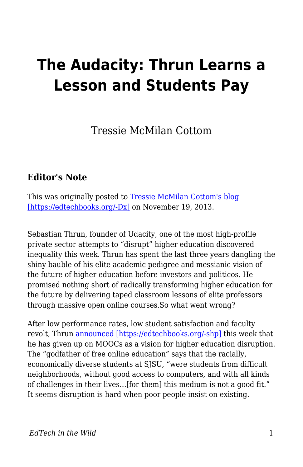## **The Audacity: Thrun Learns a Lesson and Students Pay**

Tressie McMilan Cottom

## **Editor's Note**

This was originally posted to [Tressie McMilan Cottom's blog](https://tressiemc.com/uncategorized/the-audacity-thrun-learns-a-lesson-and-students-pay/) [\[https://edtechbooks.org/-Dx\]](https://tressiemc.com/uncategorized/the-audacity-thrun-learns-a-lesson-and-students-pay/) on November 19, 2013.

Sebastian Thrun, founder of Udacity, one of the most high-profile private sector attempts to "disrupt" higher education discovered inequality this week. Thrun has spent the last three years dangling the shiny bauble of his elite academic pedigree and messianic vision of the future of higher education before investors and politicos. He promised nothing short of radically transforming higher education for the future by delivering taped classroom lessons of elite professors through massive open online courses.So what went wrong?

After low performance rates, low student satisfaction and faculty revolt, Thrun [announced \[https://edtechbooks.org/-shp\]](http://www.fastcompany.com/3021473/udacity-sebastian-thrun-uphill-climb) this week that he has given up on MOOCs as a vision for higher education disruption. The "godfather of free online education" says that the racially, economically diverse students at SJSU, "were students from difficult neighborhoods, without good access to computers, and with all kinds of challenges in their lives…[for them] this medium is not a good fit." It seems disruption is hard when poor people insist on existing.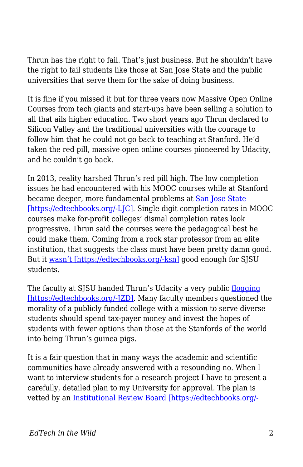Thrun has the right to fail. That's just business. But he shouldn't have the right to fail students like those at San Jose State and the public universities that serve them for the sake of doing business.

It is fine if you missed it but for three years now Massive Open Online Courses from tech giants and start-ups have been selling a solution to all that ails higher education. Two short years ago Thrun declared to Silicon Valley and the traditional universities with the courage to follow him that he could not go back to teaching at Stanford. He'd taken the red pill, massive open online courses pioneered by Udacity, and he couldn't go back.

In 2013, reality harshed Thrun's red pill high. The low completion issues he had encountered with his MOOC courses while at Stanford became deeper, more fundamental problems at [San Jose State](http://hackeducation.com/2013/11/14/thrun-as-saint/) [\[https://edtechbooks.org/-LJC\].](http://hackeducation.com/2013/11/14/thrun-as-saint/) Single digit completion rates in MOOC courses make for-profit colleges' dismal completion rates look progressive. Thrun said the courses were the pedagogical best he could make them. Coming from a rock star professor from an elite institution, that suggests the class must have been pretty damn good. But it [wasn't \[https://edtechbooks.org/-ksn\]](http://mfeldstein.com/sjsu-plus-udacity-pilots-lack-of-transparency/) good enough for SJSU students.

The faculty at SJSU handed Thrun's Udacity a very public [flogging](http://chronicle.com/article/As-MOOC-Debate-Simmers-at-San/139147/) [https://edtechbooks.org/-[ZD]. Many faculty members questioned the morality of a publicly funded college with a mission to serve diverse students should spend tax-payer money and invest the hopes of students with fewer options than those at the Stanfords of the world into being Thrun's guinea pigs.

It is a fair question that in many ways the academic and scientific communities have already answered with a resounding no. When I want to interview students for a research project I have to present a carefully, detailed plan to my University for approval. The plan is vetted by an [Institutional Review Board \[https://edtechbooks.org/-](http://www.hhs.gov/ohrp/archive/irb/irb_introduction.htm#b1)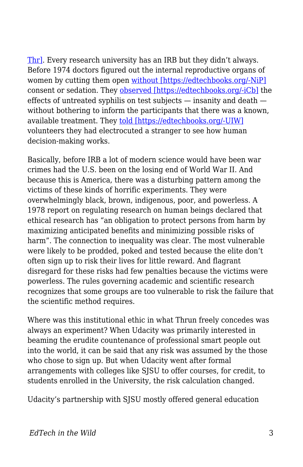[Thr\].](http://www.hhs.gov/ohrp/archive/irb/irb_introduction.htm#b1) Every research university has an IRB but they didn't always. Before 1974 doctors figured out the internal reproductive organs of women by cutting them open [without \[https://edtechbooks.org/-NiP\]](http://www.ncbi.nlm.nih.gov/pubmed/15180027) consent or sedation. They [observed \[https://edtechbooks.org/-iCb\]](http://www.npr.org/programs/morning/features/2002/jul/tuskegee/) the effects of untreated syphilis on test subjects — insanity and death without bothering to inform the participants that there was a known, available treatment. They [told \[https://edtechbooks.org/-UIW\]](http://www.npr.org/2013/08/28/209559002/taking-a-closer-look-at-milgrams-shocking-obedience-study) volunteers they had electrocuted a stranger to see how human decision-making works.

Basically, before IRB a lot of modern science would have been war crimes had the U.S. been on the losing end of World War II. And because this is America, there was a disturbing pattern among the victims of these kinds of horrific experiments. They were overwhelmingly black, brown, indigenous, poor, and powerless. A 1978 report on regulating research on human beings declared that ethical research has "an obligation to protect persons from harm by maximizing anticipated benefits and minimizing possible risks of harm". The connection to inequality was clear. The most vulnerable were likely to be prodded, poked and tested because the elite don't often sign up to risk their lives for little reward. And flagrant disregard for these risks had few penalties because the victims were powerless. The rules governing academic and scientific research recognizes that some groups are too vulnerable to risk the failure that the scientific method requires.

Where was this institutional ethic in what Thrun freely concedes was always an experiment? When Udacity was primarily interested in beaming the erudite countenance of professional smart people out into the world, it can be said that any risk was assumed by the those who chose to sign up. But when Udacity went after formal arrangements with colleges like SJSU to offer courses, for credit, to students enrolled in the University, the risk calculation changed.

Udacity's partnership with SJSU mostly offered general education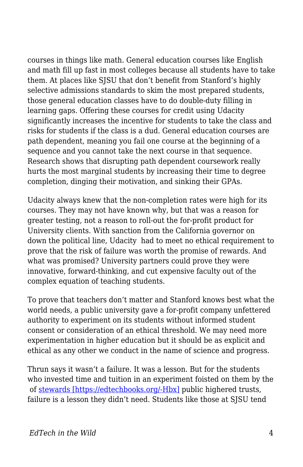courses in things like math. General education courses like English and math fill up fast in most colleges because all students have to take them. At places like SJSU that don't benefit from Stanford's highly selective admissions standards to skim the most prepared students, those general education classes have to do double-duty filling in learning gaps. Offering these courses for credit using Udacity significantly increases the incentive for students to take the class and risks for students if the class is a dud. General education courses are path dependent, meaning you fail one course at the beginning of a sequence and you cannot take the next course in that sequence. Research shows that disrupting path dependent coursework really hurts the most marginal students by increasing their time to degree completion, dinging their motivation, and sinking their GPAs.

Udacity always knew that the non-completion rates were high for its courses. They may not have known why, but that was a reason for greater testing, not a reason to roll-out the for-profit product for University clients. With sanction from the California governor on down the political line, Udacity had to meet no ethical requirement to prove that the risk of failure was worth the promise of rewards. And what was promised? University partners could prove they were innovative, forward-thinking, and cut expensive faculty out of the complex equation of teaching students.

To prove that teachers don't matter and Stanford knows best what the world needs, a public university gave a for-profit company unfettered authority to experiment on its students without informed student consent or consideration of an ethical threshold. We may need more experimentation in higher education but it should be as explicit and ethical as any other we conduct in the name of science and progress.

Thrun says it wasn't a failure. It was a lesson. But for the students who invested time and tuition in an experiment foisted on them by the of [stewards \[https://edtechbooks.org/-Hbx\]](http://www.informationweek.com/education/online-learning/udacity-ceo-says-mooc-magic-formula-emer/240160169) public highered trusts, failure is a lesson they didn't need. Students like those at SJSU tend